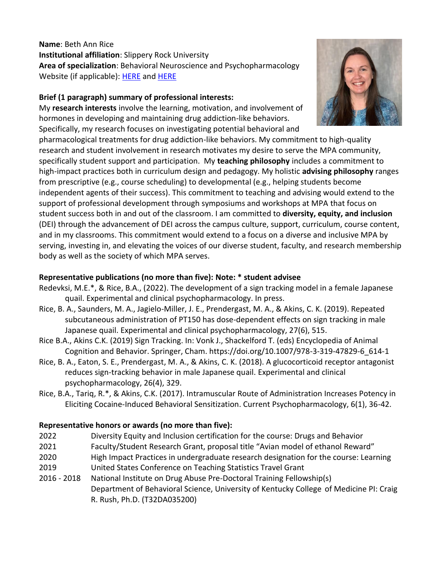**Name**: Beth Ann Rice **Institutional affiliation**: Slippery Rock University **Area of specialization**: Behavioral Neuroscience and Psychopharmacology Website (if applicable): [HERE](https://www.linkedin.com/in/beth-ann-rice-359a3a17b/) an[d HERE](https://www.sru.edu/academics/colleges-and-departments/ches/departments/psychology/faculty)

## **Brief (1 paragraph) summary of professional interests:**

My **research interests** involve the learning, motivation, and involvement of hormones in developing and maintaining drug addiction-like behaviors. Specifically, my research focuses on investigating potential behavioral and

pharmacological treatments for drug addiction-like behaviors. My commitment to high-quality research and student involvement in research motivates my desire to serve the MPA community, specifically student support and participation. My **teaching philosophy** includes a commitment to high-impact practices both in curriculum design and pedagogy. My holistic **advising philosophy** ranges from prescriptive (e.g., course scheduling) to developmental (e.g., helping students become independent agents of their success). This commitment to teaching and advising would extend to the support of professional development through symposiums and workshops at MPA that focus on student success both in and out of the classroom. I am committed to **diversity, equity, and inclusion** (DEI) through the advancement of DEI across the campus culture, support, curriculum, course content, and in my classrooms. This commitment would extend to a focus on a diverse and inclusive MPA by serving, investing in, and elevating the voices of our diverse student, faculty, and research membership body as well as the society of which MPA serves.

## **Representative publications (no more than five): Note: \* student advisee**

- Redevksi, M.E.\*, & Rice, B.A., (2022). The development of a sign tracking model in a female Japanese quail. Experimental and clinical psychopharmacology. In press.
- Rice, B. A., Saunders, M. A., Jagielo-Miller, J. E., Prendergast, M. A., & Akins, C. K. (2019). Repeated subcutaneous administration of PT150 has dose-dependent effects on sign tracking in male Japanese quail. Experimental and clinical psychopharmacology, 27(6), 515.
- Rice B.A., Akins C.K. (2019) Sign Tracking. In: Vonk J., Shackelford T. (eds) Encyclopedia of Animal Cognition and Behavior. Springer, Cham. https://doi.org/10.1007/978-3-319-47829-6\_614-1
- Rice, B. A., Eaton, S. E., Prendergast, M. A., & Akins, C. K. (2018). A glucocorticoid receptor antagonist reduces sign-tracking behavior in male Japanese quail. Experimental and clinical psychopharmacology, 26(4), 329.
- Rice, B.A., Tariq, R.\*, & Akins, C.K. (2017). Intramuscular Route of Administration Increases Potency in Eliciting Cocaine-Induced Behavioral Sensitization. Current Psychopharmacology, 6(1), 36-42.

## **Representative honors or awards (no more than five):**

- 2022 Diversity Equity and Inclusion certification for the course: Drugs and Behavior
- 2021 Faculty/Student Research Grant, proposal title "Avian model of ethanol Reward"
- 2020 High Impact Practices in undergraduate research designation for the course: Learning
- 2019 United States Conference on Teaching Statistics Travel Grant
- 2016 2018 National Institute on Drug Abuse Pre-Doctoral Training Fellowship(s) Department of Behavioral Science, University of Kentucky College of Medicine PI: Craig R. Rush, Ph.D. (T32DA035200)